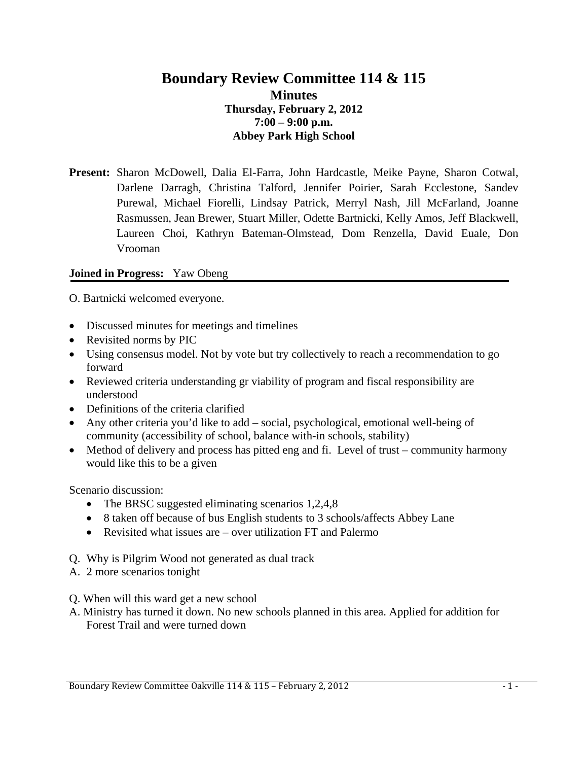# **Boundary Review Committee 114 & 115 Minutes Thursday, February 2, 2012 7:00 – 9:00 p.m. Abbey Park High School**

**Present:** Sharon McDowell, Dalia El-Farra, John Hardcastle, Meike Payne, Sharon Cotwal, Darlene Darragh, Christina Talford, Jennifer Poirier, Sarah Ecclestone, Sandev Purewal, Michael Fiorelli, Lindsay Patrick, Merryl Nash, Jill McFarland, Joanne Rasmussen, Jean Brewer, Stuart Miller, Odette Bartnicki, Kelly Amos, Jeff Blackwell, Laureen Choi, Kathryn Bateman-Olmstead, Dom Renzella, David Euale, Don Vrooman

#### **Joined in Progress:** Yaw Obeng

O. Bartnicki welcomed everyone.

- Discussed minutes for meetings and timelines
- Revisited norms by PIC
- Using consensus model. Not by vote but try collectively to reach a recommendation to go forward
- Reviewed criteria understanding gr viability of program and fiscal responsibility are understood
- Definitions of the criteria clarified
- Any other criteria you'd like to add social, psychological, emotional well-being of community (accessibility of school, balance with-in schools, stability)
- Method of delivery and process has pitted eng and fi. Level of trust community harmony would like this to be a given

Scenario discussion:

- The BRSC suggested eliminating scenarios 1,2,4,8
- 8 taken off because of bus English students to 3 schools/affects Abbey Lane
- Revisited what issues are over utilization FT and Palermo
- Q. Why is Pilgrim Wood not generated as dual track
- A. 2 more scenarios tonight
- Q. When will this ward get a new school
- A. Ministry has turned it down. No new schools planned in this area. Applied for addition for Forest Trail and were turned down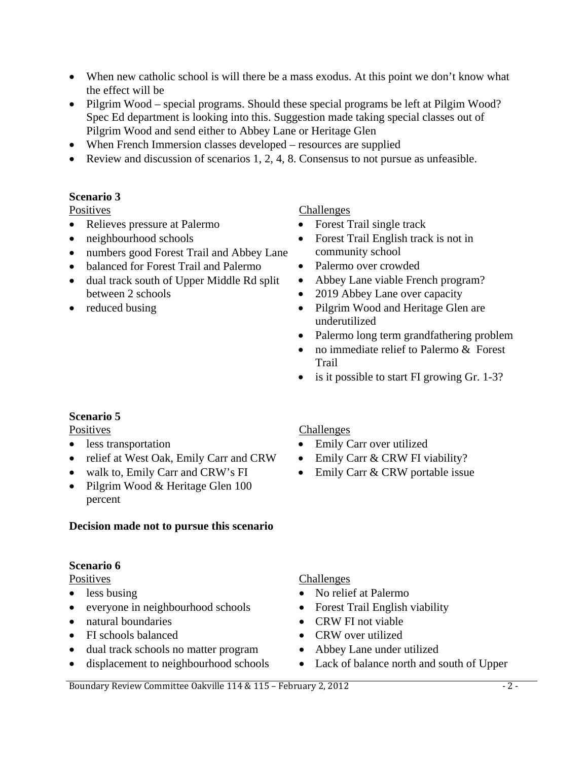- When new catholic school is will there be a mass exodus. At this point we don't know what the effect will be
- Pilgrim Wood special programs. Should these special programs be left at Pilgim Wood? Spec Ed department is looking into this. Suggestion made taking special classes out of Pilgrim Wood and send either to Abbey Lane or Heritage Glen
- When French Immersion classes developed resources are supplied
- Review and discussion of scenarios 1, 2, 4, 8. Consensus to not pursue as unfeasible.

# **Scenario 3**

Positives

- Relieves pressure at Palermo
- neighbourhood schools
- numbers good Forest Trail and Abbey Lane
- balanced for Forest Trail and Palermo
- dual track south of Upper Middle Rd split between 2 schools
- reduced busing

# Challenges

- Forest Trail single track
- Forest Trail English track is not in community school
- Palermo over crowded
- Abbey Lane viable French program?
- 2019 Abbey Lane over capacity
- Pilgrim Wood and Heritage Glen are underutilized
- Palermo long term grandfathering problem
- no immediate relief to Palermo & Forest Trail
- is it possible to start FI growing Gr. 1-3?

# **Scenario 5**

**Positives** 

- less transportation
- relief at West Oak, Emily Carr and CRW
- walk to, Emily Carr and CRW's FI
- Pilgrim Wood & Heritage Glen 100 percent

# **Decision made not to pursue this scenario**

# **Scenario 6**

**Positives** 

- less busing
- everyone in neighbourhood schools
- natural boundaries
- FI schools balanced
- dual track schools no matter program
- displacement to neighbourhood schools

# Challenges

- Emily Carr over utilized
- Emily Carr & CRW FI viability?
- Emily Carr & CRW portable issue

#### Challenges

- No relief at Palermo
- Forest Trail English viability
- CRW FI not viable
- CRW over utilized
- Abbey Lane under utilized
- Lack of balance north and south of Upper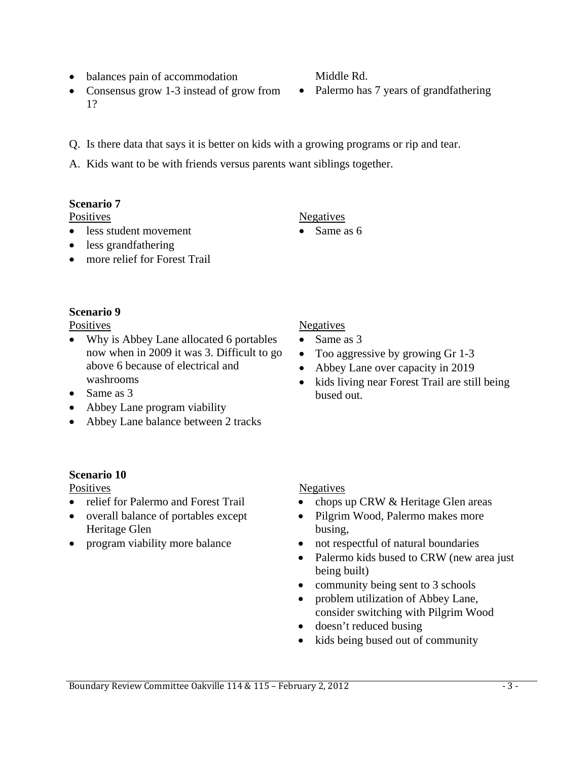## • balances pain of accommodation

- Consensus grow 1-3 instead of grow from 1?
- Q. Is there data that says it is better on kids with a growing programs or rip and tear.
- A. Kids want to be with friends versus parents want siblings together.

### **Scenario 7**

Positives

- less student movement
- less grandfathering
- more relief for Forest Trail

### **Scenario 9**

**Positives** 

- Why is Abbey Lane allocated 6 portables now when in 2009 it was 3. Difficult to go above 6 because of electrical and washrooms
- Same as 3
- Abbey Lane program viability
- Abbey Lane balance between 2 tracks

# **Negatives**

Negatives

Same as 6

- Same as 3
- Too aggressive by growing Gr 1-3
- Abbey Lane over capacity in 2019
- kids living near Forest Trail are still being bused out.

# **Scenario 10 Positives**

- relief for Palermo and Forest Trail
- overall balance of portables except Heritage Glen
- program viability more balance

# Negatives

- chops up CRW & Heritage Glen areas
- Pilgrim Wood, Palermo makes more busing,
- not respectful of natural boundaries
- Palermo kids bused to CRW (new area just being built)
- community being sent to 3 schools
- problem utilization of Abbey Lane, consider switching with Pilgrim Wood
- doesn't reduced busing
- kids being bused out of community

# Middle Rd.

• Palermo has 7 years of grandfathering